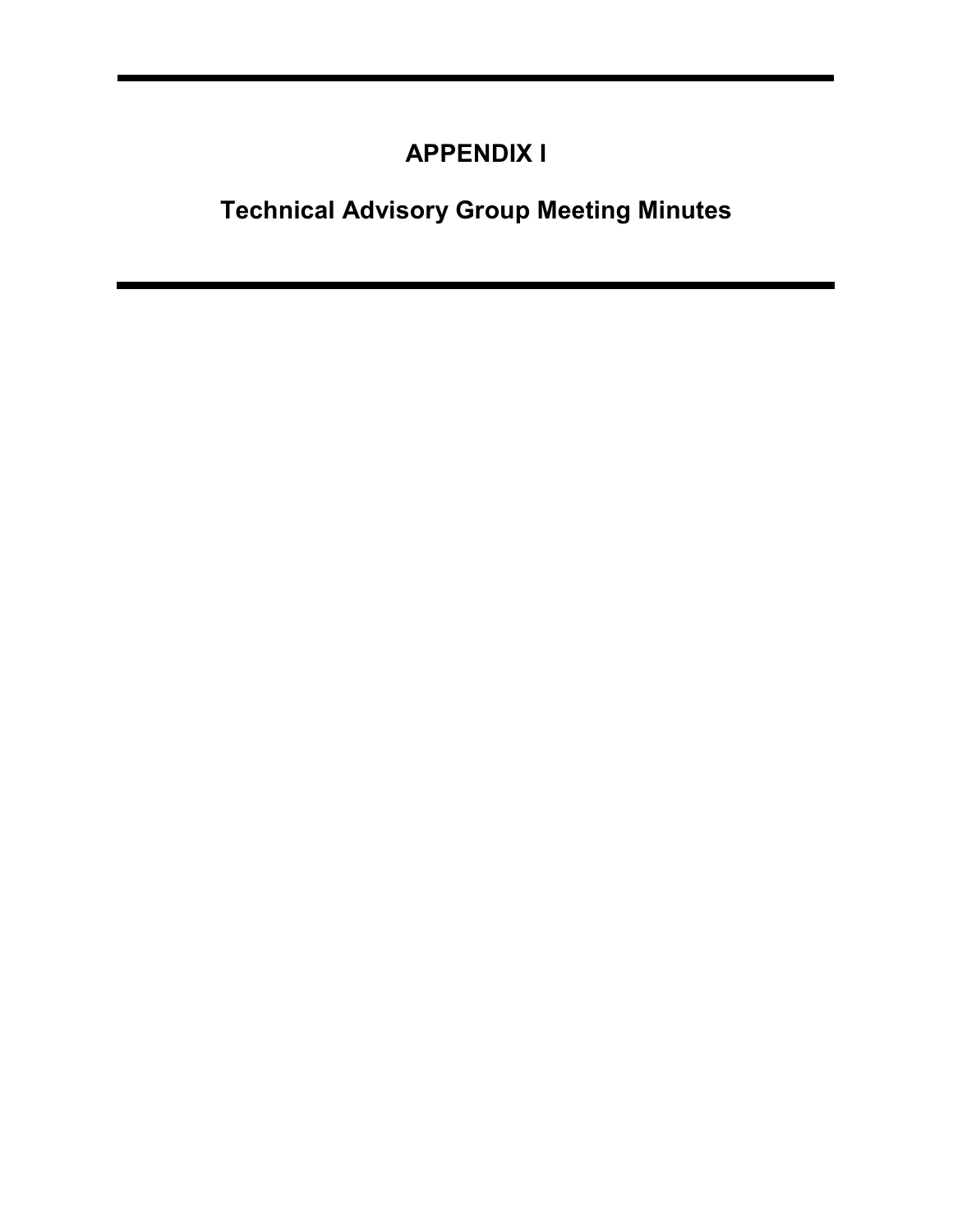## APPENDIX I

# Technical Advisory Group Meeting Minutes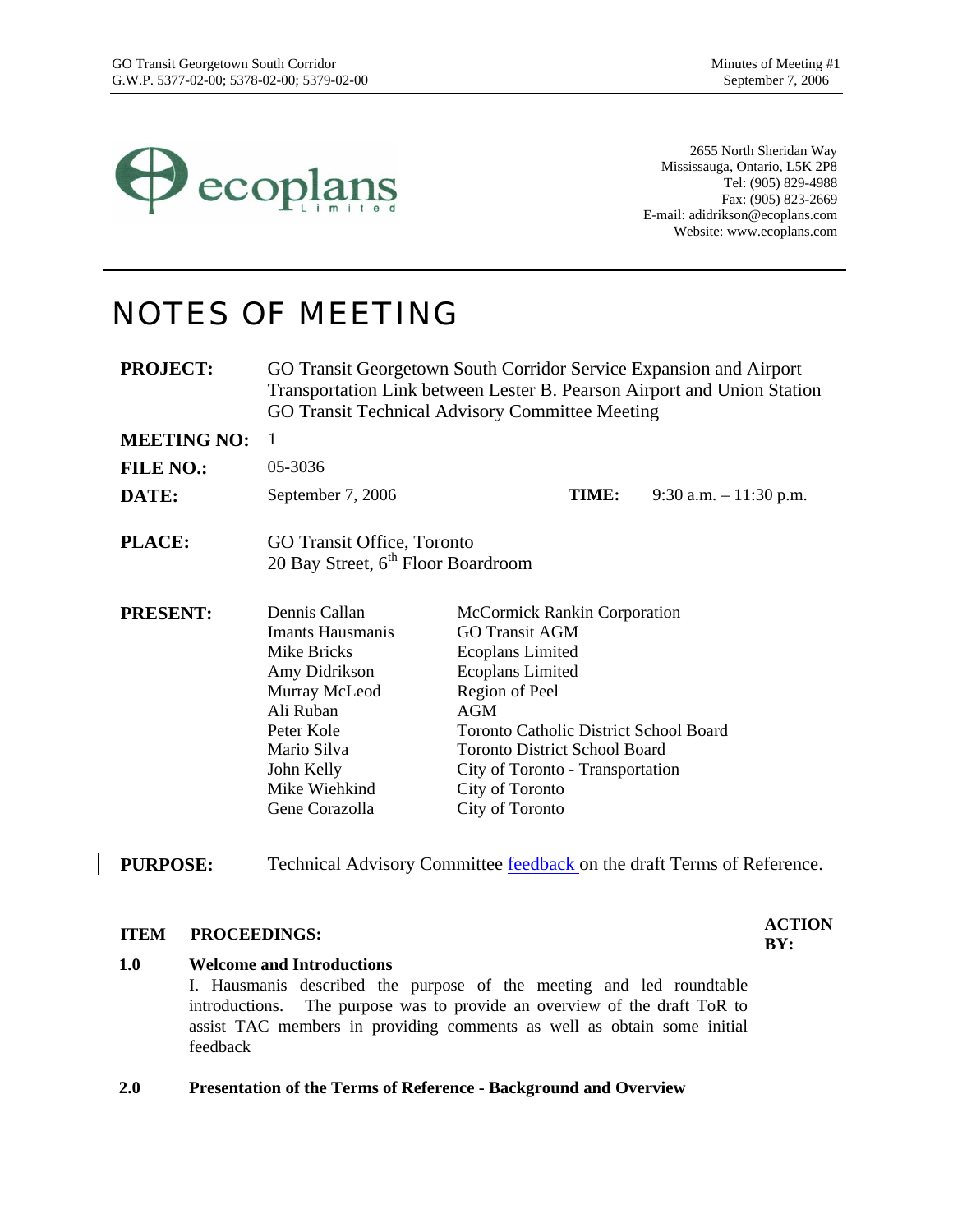

2655 North Sheridan Way Mississauga, Ontario, L5K 2P8 Tel: (905) 829-4988 Fax: (905) 823-2669 E-mail: adidrikson@ecoplans.com Website: www.ecoplans.com

## NOTES OF MEETING

**PROJECT:** GO Transit Georgetown South Corridor Service Expansion and Airport Transportation Link between Lester B. Pearson Airport and Union Station GO Transit Technical Advisory Committee Meeting

**MEETING NO:** 1

**FILE NO.:** 05-3036

**DATE:** September 7, 2006 **TIME:** 9:30 a.m. – 11:30 p.m.

- **PLACE:** GO Transit Office, Toronto 20 Bay Street, 6<sup>th</sup> Floor Boardroom
- **PRESENT:** Dennis Callan Imants Hausmanis Mike Bricks Amy Didrikson Murray McLeod Ali Ruban Peter Kole Mario Silva John Kelly Mike Wiehkind Gene Corazolla McCormick Rankin Corporation GO Transit AGM Ecoplans Limited Ecoplans Limited Region of Peel AGM Toronto Catholic District School Board Toronto District School Board City of Toronto - Transportation City of Toronto City of Toronto

**PURPOSE:** Technical Advisory Committee feedback on the draft Terms of Reference.

## **ITEM PROCEEDINGS:**  $\frac{ACTION}{IN}$

**BY:** 

#### **1.0 Welcome and Introductions**

I. Hausmanis described the purpose of the meeting and led roundtable introductions. The purpose was to provide an overview of the draft ToR to assist TAC members in providing comments as well as obtain some initial feedback

#### **2.0 Presentation of the Terms of Reference - Background and Overview**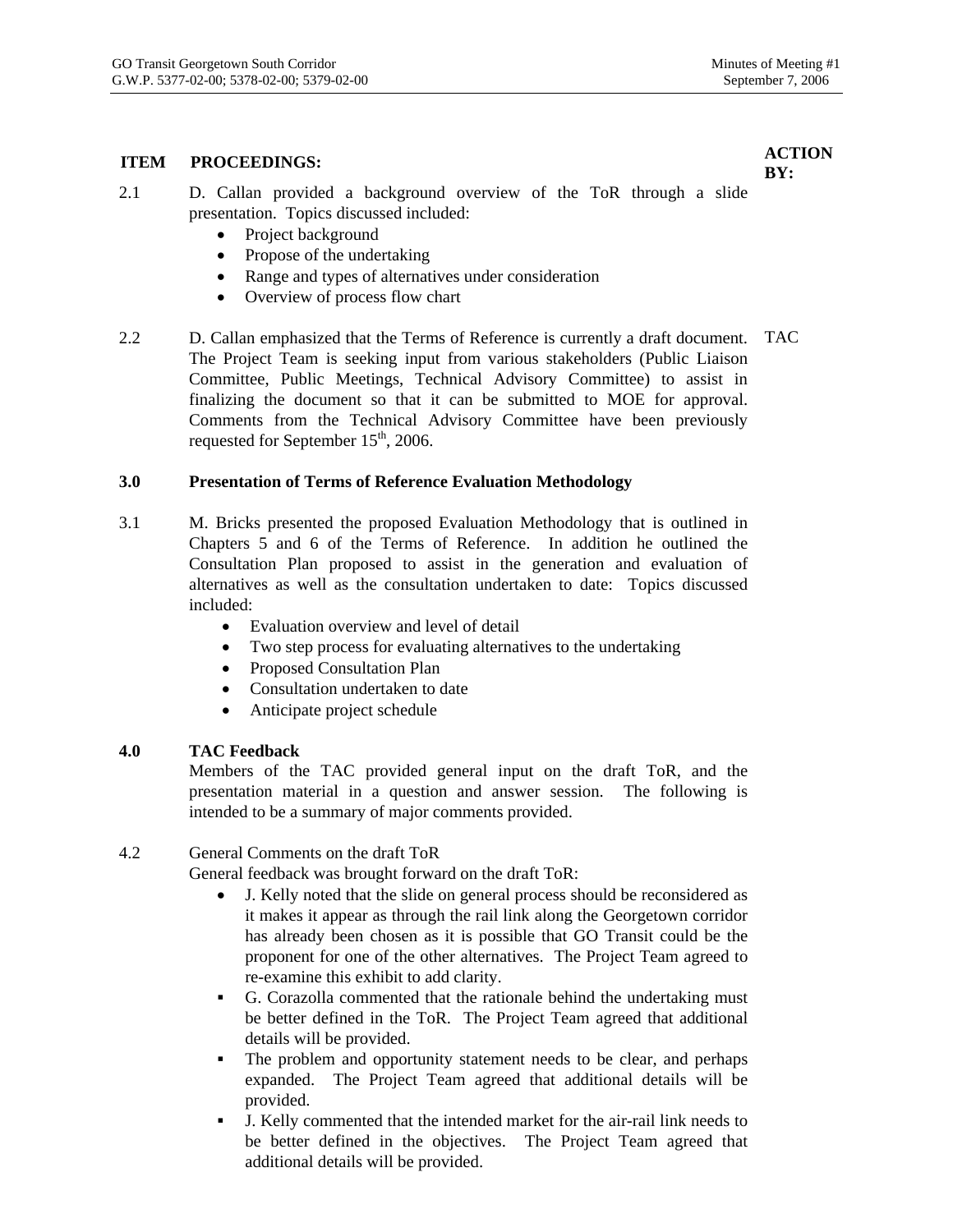### **ITEM PROCEEDINGS:**  $\overrightarrow{A}$  **ACTION**

**BY:** 

- 2.1 D. Callan provided a background overview of the ToR through a slide presentation. Topics discussed included:
	- Project background
	- Propose of the undertaking
	- Range and types of alternatives under consideration
	- Overview of process flow chart
- 2.2 D. Callan emphasized that the Terms of Reference is currently a draft document. TAC The Project Team is seeking input from various stakeholders (Public Liaison Committee, Public Meetings, Technical Advisory Committee) to assist in finalizing the document so that it can be submitted to MOE for approval. Comments from the Technical Advisory Committee have been previously requested for September  $15<sup>th</sup>$ , 2006.

#### **3.0 Presentation of Terms of Reference Evaluation Methodology**

- 3.1 M. Bricks presented the proposed Evaluation Methodology that is outlined in Chapters 5 and 6 of the Terms of Reference. In addition he outlined the Consultation Plan proposed to assist in the generation and evaluation of alternatives as well as the consultation undertaken to date: Topics discussed included:
	- Evaluation overview and level of detail
	- Two step process for evaluating alternatives to the undertaking
	- Proposed Consultation Plan
	- Consultation undertaken to date
	- Anticipate project schedule

#### **4.0 TAC Feedback**

Members of the TAC provided general input on the draft ToR, and the presentation material in a question and answer session. The following is intended to be a summary of major comments provided.

#### 4.2 General Comments on the draft ToR

General feedback was brought forward on the draft ToR:

- J. Kelly noted that the slide on general process should be reconsidered as it makes it appear as through the rail link along the Georgetown corridor has already been chosen as it is possible that GO Transit could be the proponent for one of the other alternatives. The Project Team agreed to re-examine this exhibit to add clarity.
- G. Corazolla commented that the rationale behind the undertaking must be better defined in the ToR. The Project Team agreed that additional details will be provided.
- The problem and opportunity statement needs to be clear, and perhaps expanded. The Project Team agreed that additional details will be provided.
- J. Kelly commented that the intended market for the air-rail link needs to be better defined in the objectives. The Project Team agreed that additional details will be provided.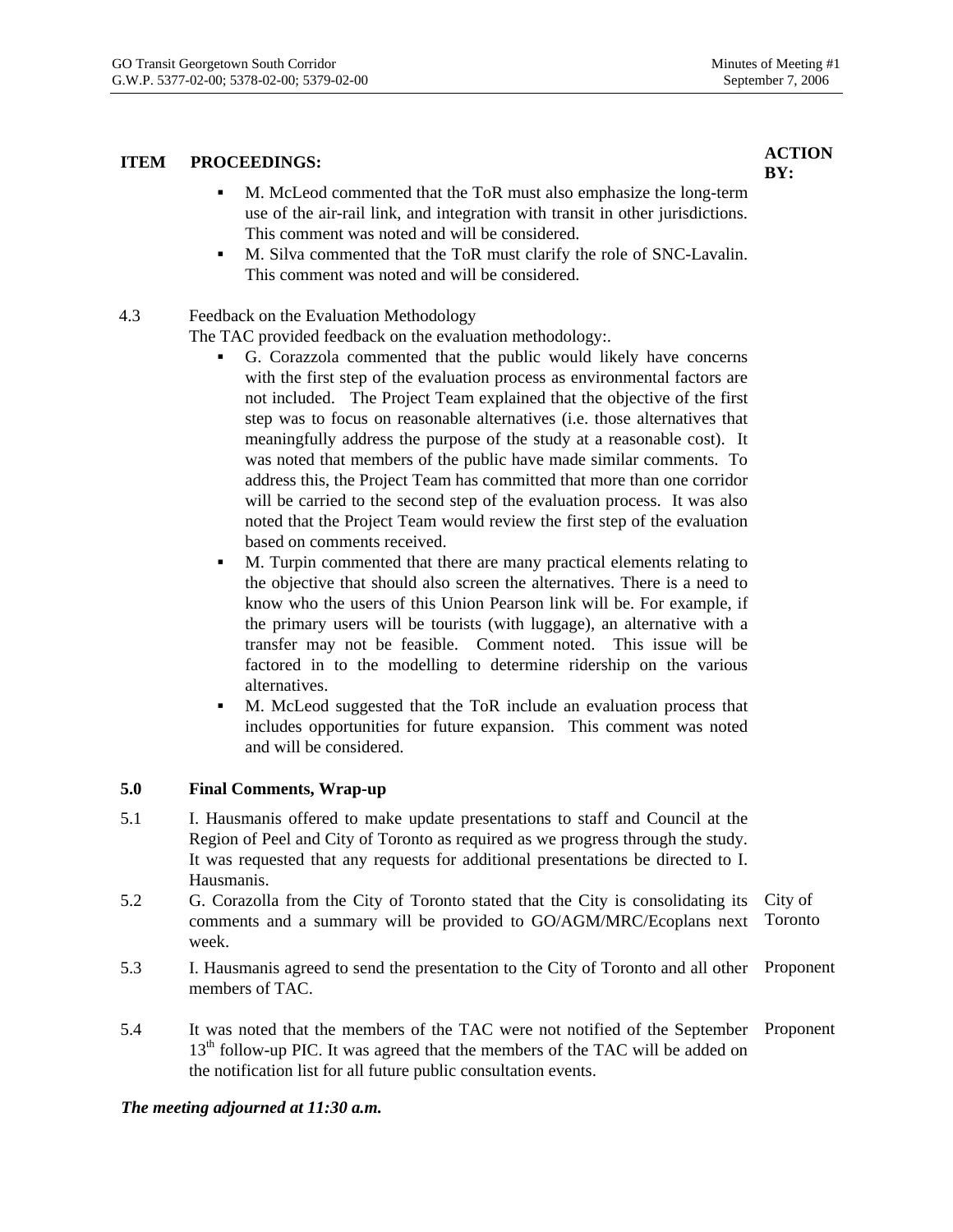### **ITEM PROCEEDINGS:**  $\overrightarrow{A}$  **ACTION**

- M. McLeod commented that the ToR must also emphasize the long-term use of the air-rail link, and integration with transit in other jurisdictions. This comment was noted and will be considered.
- M. Silva commented that the ToR must clarify the role of SNC-Lavalin. This comment was noted and will be considered.

#### 4.3 Feedback on the Evaluation Methodology

The TAC provided feedback on the evaluation methodology:.

- G. Corazzola commented that the public would likely have concerns with the first step of the evaluation process as environmental factors are not included. The Project Team explained that the objective of the first step was to focus on reasonable alternatives (i.e. those alternatives that meaningfully address the purpose of the study at a reasonable cost). It was noted that members of the public have made similar comments. To address this, the Project Team has committed that more than one corridor will be carried to the second step of the evaluation process. It was also noted that the Project Team would review the first step of the evaluation based on comments received.
- M. Turpin commented that there are many practical elements relating to the objective that should also screen the alternatives. There is a need to know who the users of this Union Pearson link will be. For example, if the primary users will be tourists (with luggage), an alternative with a transfer may not be feasible. Comment noted. This issue will be factored in to the modelling to determine ridership on the various alternatives.
- M. McLeod suggested that the ToR include an evaluation process that includes opportunities for future expansion. This comment was noted and will be considered.

#### **5.0 Final Comments, Wrap-up**

- 5.1 I. Hausmanis offered to make update presentations to staff and Council at the Region of Peel and City of Toronto as required as we progress through the study. It was requested that any requests for additional presentations be directed to I. Hausmanis.
- 5.2 G. Corazolla from the City of Toronto stated that the City is consolidating its comments and a summary will be provided to GO/AGM/MRC/Ecoplans next week. City of Toronto
- 5.3 I. Hausmanis agreed to send the presentation to the City of Toronto and all other Proponent members of TAC.
- 5.4 It was noted that the members of the TAC were not notified of the September Proponent  $13<sup>th</sup>$  follow-up PIC. It was agreed that the members of the TAC will be added on the notification list for all future public consultation events.

#### *The meeting adjourned at 11:30 a.m.*

# **BY:**